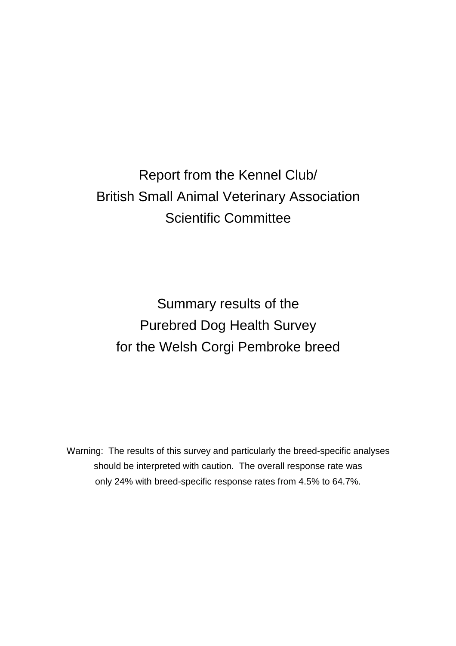# Report from the Kennel Club/ British Small Animal Veterinary Association Scientific Committee

Summary results of the Purebred Dog Health Survey for the Welsh Corgi Pembroke breed

Warning: The results of this survey and particularly the breed-specific analyses should be interpreted with caution. The overall response rate was only 24% with breed-specific response rates from 4.5% to 64.7%.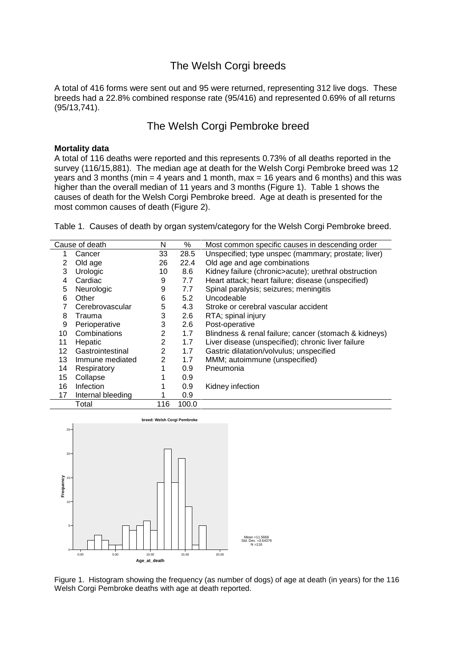## The Welsh Corgi breeds

A total of 416 forms were sent out and 95 were returned, representing 312 live dogs. These breeds had a 22.8% combined response rate (95/416) and represented 0.69% of all returns (95/13,741).

### The Welsh Corgi Pembroke breed

#### **Mortality data**

A total of 116 deaths were reported and this represents 0.73% of all deaths reported in the survey (116/15,881). The median age at death for the Welsh Corgi Pembroke breed was 12 years and 3 months (min = 4 years and 1 month, max = 16 years and 6 months) and this was higher than the overall median of 11 years and 3 months (Figure 1). Table 1 shows the causes of death for the Welsh Corgi Pembroke breed. Age at death is presented for the most common causes of death (Figure 2).

Table 1. Causes of death by organ system/category for the Welsh Corgi Pembroke breed.

| Cause of death |                   | Ν              | %     | Most common specific causes in descending order       |  |
|----------------|-------------------|----------------|-------|-------------------------------------------------------|--|
| 1              | Cancer            | 33             | 28.5  | Unspecified; type unspec (mammary; prostate; liver)   |  |
| 2              | Old age           | 26             | 22.4  | Old age and age combinations                          |  |
| 3              | Urologic          | 10             | 8.6   | Kidney failure (chronic>acute); urethral obstruction  |  |
| 4              | Cardiac           | 9              | 7.7   | Heart attack; heart failure; disease (unspecified)    |  |
| 5              | Neurologic        | 9              | 7.7   | Spinal paralysis; seizures; meningitis                |  |
| 6              | Other             | 6              | 5.2   | Uncodeable                                            |  |
|                | Cerebrovascular   | 5              | 4.3   | Stroke or cerebral vascular accident                  |  |
| 8              | Trauma            | 3              | 2.6   | RTA; spinal injury                                    |  |
| 9              | Perioperative     | 3              | 2.6   | Post-operative                                        |  |
| 10             | Combinations      | 2              | 1.7   | Blindness & renal failure; cancer (stomach & kidneys) |  |
| 11             | Hepatic           | $\overline{2}$ | 1.7   | Liver disease (unspecified); chronic liver failure    |  |
| 12             | Gastrointestinal  | 2              | 1.7   | Gastric dilatation/volvulus; unspecified              |  |
| 13             | Immune mediated   | 2              | 1.7   | MMM; autoimmune (unspecified)                         |  |
| 14             | Respiratory       | 1              | 0.9   | Pneumonia                                             |  |
| 15             | Collapse          |                | 0.9   |                                                       |  |
| 16             | <b>Infection</b>  |                | 0.9   | Kidney infection                                      |  |
| 17             | Internal bleeding |                | 0.9   |                                                       |  |
|                | Total             |                | 100.0 |                                                       |  |



Figure 1. Histogram showing the frequency (as number of dogs) of age at death (in years) for the 116 Welsh Corgi Pembroke deaths with age at death reported.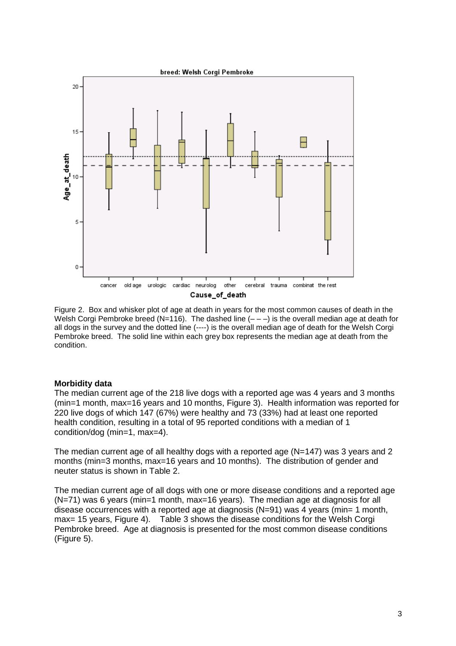

Figure 2. Box and whisker plot of age at death in years for the most common causes of death in the Welsh Corgi Pembroke breed (N=116). The dashed line  $(- - -)$  is the overall median age at death for all dogs in the survey and the dotted line (----) is the overall median age of death for the Welsh Corgi Pembroke breed. The solid line within each grey box represents the median age at death from the condition.

#### **Morbidity data**

The median current age of the 218 live dogs with a reported age was 4 years and 3 months (min=1 month, max=16 years and 10 months, Figure 3). Health information was reported for 220 live dogs of which 147 (67%) were healthy and 73 (33%) had at least one reported health condition, resulting in a total of 95 reported conditions with a median of 1 condition/dog (min=1, max=4).

The median current age of all healthy dogs with a reported age (N=147) was 3 years and 2 months (min=3 months, max=16 years and 10 months). The distribution of gender and neuter status is shown in Table 2.

The median current age of all dogs with one or more disease conditions and a reported age (N=71) was 6 years (min=1 month, max=16 years). The median age at diagnosis for all disease occurrences with a reported age at diagnosis  $(N=91)$  was 4 years (min= 1 month, max= 15 years, Figure 4). Table 3 shows the disease conditions for the Welsh Corgi Pembroke breed. Age at diagnosis is presented for the most common disease conditions (Figure 5).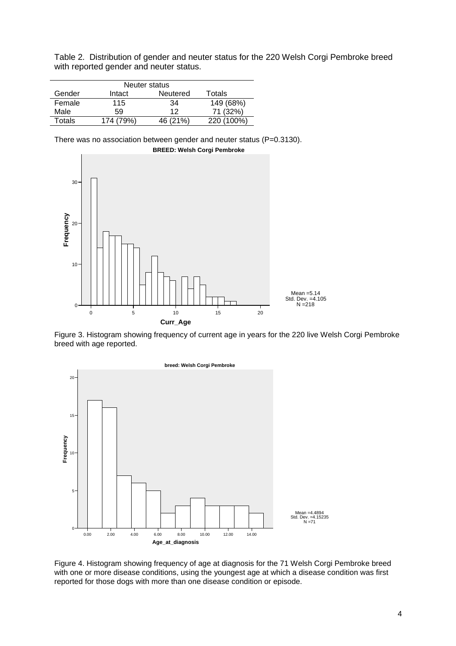Table 2. Distribution of gender and neuter status for the 220 Welsh Corgi Pembroke breed with reported gender and neuter status.

|        | Neuter status |          |            |  |  |  |
|--------|---------------|----------|------------|--|--|--|
| Gender | Intact        | Neutered | Totals     |  |  |  |
| Female | 115           | 34       | 149 (68%)  |  |  |  |
| Male   | 59            | 12       | 71 (32%)   |  |  |  |
| Totals | 174 (79%)     | 46 (21%) | 220 (100%) |  |  |  |

There was no association between gender and neuter status (P=0.3130).



Figure 3. Histogram showing frequency of current age in years for the 220 live Welsh Corgi Pembroke breed with age reported.



Figure 4. Histogram showing frequency of age at diagnosis for the 71 Welsh Corgi Pembroke breed with one or more disease conditions, using the youngest age at which a disease condition was first reported for those dogs with more than one disease condition or episode.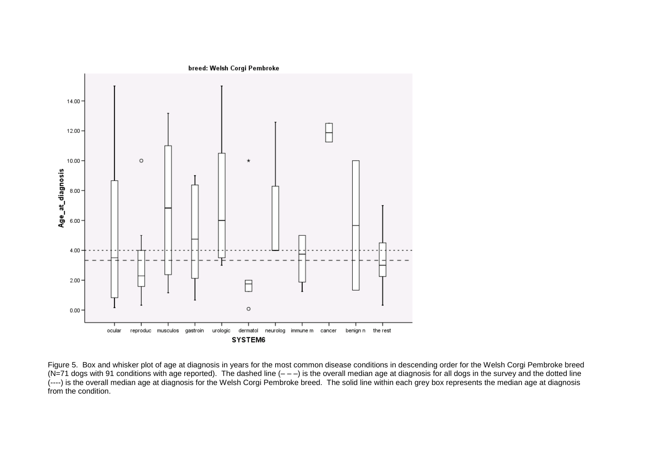

Figure 5. Box and whisker plot of age at diagnosis in years for the most common disease conditions in descending order for the Welsh Corgi Pembroke breed (N=71 dogs with 91 conditions with age reported). The dashed line  $(- -)$  is the overall median age at diagnosis for all dogs in the survey and the dotted line (----) is the overall median age at diagnosis for the Welsh Corgi Pembroke breed. The solid line within each grey box represents the median age at diagnosis from the condition.